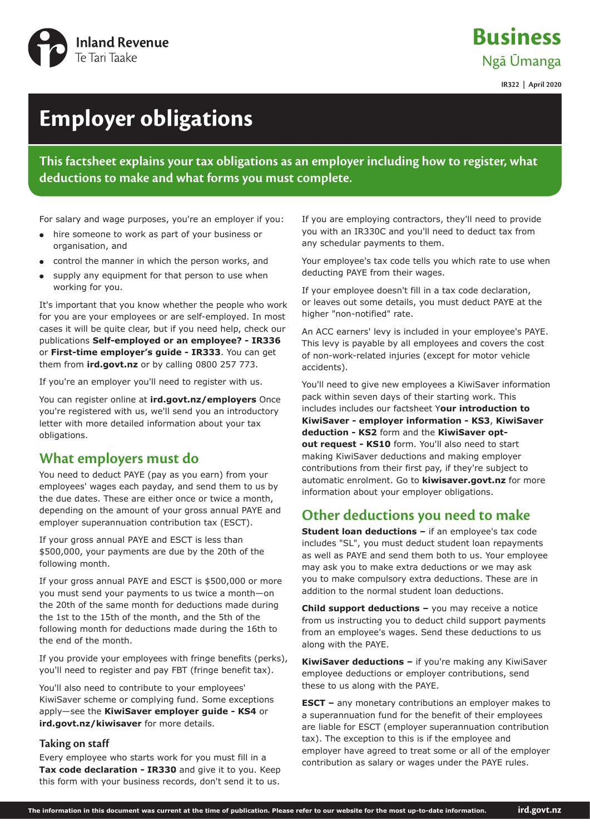

**Business** Ngā Ūmanga

**IR322 | April 2020**

# **Employer obligations**

**This factsheet explains your tax obligations as an employer including how to register, what deductions to make and what forms you must complete.**

For salary and wage purposes, you're an employer if you:

- hire someone to work as part of your business or organisation, and
- control the manner in which the person works, and
- supply any equipment for that person to use when working for you.

It's important that you know whether the people who work for you are your employees or are self-employed. In most cases it will be quite clear, but if you need help, check our publications **Self-employed or an employee? - IR336** or **First-time employer's guide - IR333**. You can get them from **ird.govt.nz** or by calling 0800 257 773.

If you're an employer you'll need to register with us.

You can register online at **ird.govt.nz/employers** Once you're registered with us, we'll send you an introductory letter with more detailed information about your tax obligations.

## **What employers must do**

You need to deduct PAYE (pay as you earn) from your employees' wages each payday, and send them to us by the due dates. These are either once or twice a month, depending on the amount of your gross annual PAYE and employer superannuation contribution tax (ESCT).

If your gross annual PAYE and ESCT is less than \$500,000, your payments are due by the 20th of the following month.

If your gross annual PAYE and ESCT is \$500,000 or more you must send your payments to us twice a month—on the 20th of the same month for deductions made during the 1st to the 15th of the month, and the 5th of the following month for deductions made during the 16th to the end of the month.

If you provide your employees with fringe benefits (perks), you'll need to register and pay FBT (fringe benefit tax).

You'll also need to contribute to your employees' KiwiSaver scheme or complying fund. Some exceptions apply—see the **KiwiSaver employer guide - KS4** or **ird.govt.nz/kiwisaver** for more details.

#### **Taking on staff**

Every employee who starts work for you must fill in a **Tax code declaration - IR330** and give it to you. Keep this form with your business records, don't send it to us.

If you are employing contractors, they'll need to provide you with an IR330C and you'll need to deduct tax from any schedular payments to them.

Your employee's tax code tells you which rate to use when deducting PAYE from their wages.

If your employee doesn't fill in a tax code declaration, or leaves out some details, you must deduct PAYE at the higher "non-notified" rate.

An ACC earners' levy is included in your employee's PAYE. This levy is payable by all employees and covers the cost of non-work-related injuries (except for motor vehicle accidents).

You'll need to give new employees a KiwiSaver information pack within seven days of their starting work. This includes includes our factsheet Y**our introduction to KiwiSaver - employer information - KS3**, **KiwiSaver deduction - KS2** form and the **KiwiSaver optout request - KS10** form. You'll also need to start making KiwiSaver deductions and making employer contributions from their first pay, if they're subject to automatic enrolment. Go to **kiwisaver.govt.nz** for more information about your employer obligations.

# **Other deductions you need to make**

**Student loan deductions –** if an employee's tax code includes "SL", you must deduct student loan repayments as well as PAYE and send them both to us. Your employee may ask you to make extra deductions or we may ask you to make compulsory extra deductions. These are in addition to the normal student loan deductions.

**Child support deductions –** you may receive a notice from us instructing you to deduct child support payments from an employee's wages. Send these deductions to us along with the PAYE.

**KiwiSaver deductions –** if you're making any KiwiSaver employee deductions or employer contributions, send these to us along with the PAYE.

**ESCT** – any monetary contributions an employer makes to a superannuation fund for the benefit of their employees are liable for ESCT (employer superannuation contribution tax). The exception to this is if the employee and employer have agreed to treat some or all of the employer contribution as salary or wages under the PAYE rules.